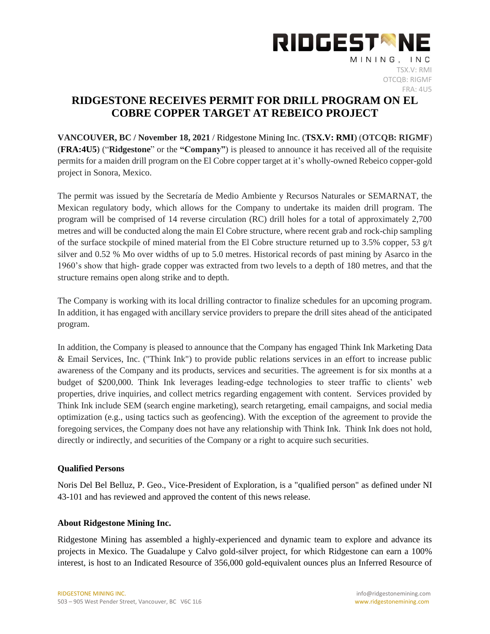

## **RIDGESTONE RECEIVES PERMIT FOR DRILL PROGRAM ON EL COBRE COPPER TARGET AT REBEICO PROJECT**

**VANCOUVER, BC / November 18, 2021** / Ridgestone Mining Inc. (**TSX.V: RMI**) (**OTCQB: RIGMF**) (**FRA:4U5**) ("**Ridgestone**" or the **"Company"**) is pleased to announce it has received all of the requisite permits for a maiden drill program on the El Cobre copper target at it's wholly-owned Rebeico copper-gold project in Sonora, Mexico.

The permit was issued by the Secretaría de Medio Ambiente y Recursos Naturales or SEMARNAT, the Mexican regulatory body, which allows for the Company to undertake its maiden drill program. The program will be comprised of 14 reverse circulation (RC) drill holes for a total of approximately 2,700 metres and will be conducted along the main El Cobre structure, where recent grab and rock-chip sampling of the surface stockpile of mined material from the El Cobre structure returned up to 3.5% copper, 53  $g/t$ silver and 0.52 % Mo over widths of up to 5.0 metres. Historical records of past mining by Asarco in the 1960's show that high- grade copper was extracted from two levels to a depth of 180 metres, and that the structure remains open along strike and to depth.

The Company is working with its local drilling contractor to finalize schedules for an upcoming program. In addition, it has engaged with ancillary service providers to prepare the drill sites ahead of the anticipated program.

In addition, the Company is pleased to announce that the Company has engaged Think Ink Marketing Data & Email Services, Inc. ("Think Ink") to provide public relations services in an effort to increase public awareness of the Company and its products, services and securities. The agreement is for six months at a budget of \$200,000. Think Ink leverages leading-edge technologies to steer traffic to clients' web properties, drive inquiries, and collect metrics regarding engagement with content. Services provided by Think Ink include SEM (search engine marketing), search retargeting, email campaigns, and social media optimization (e.g., using tactics such as geofencing). With the exception of the agreement to provide the foregoing services, the Company does not have any relationship with Think Ink. Think Ink does not hold, directly or indirectly, and securities of the Company or a right to acquire such securities.

## **Qualified Persons**

Noris Del Bel Belluz, P. Geo., Vice-President of Exploration, is a "qualified person" as defined under NI 43-101 and has reviewed and approved the content of this news release.

## **About Ridgestone Mining Inc.**

Ridgestone Mining has assembled a highly-experienced and dynamic team to explore and advance its projects in Mexico. The Guadalupe y Calvo gold-silver project, for which Ridgestone can earn a 100% interest, is host to an Indicated Resource of 356,000 gold-equivalent ounces plus an Inferred Resource of